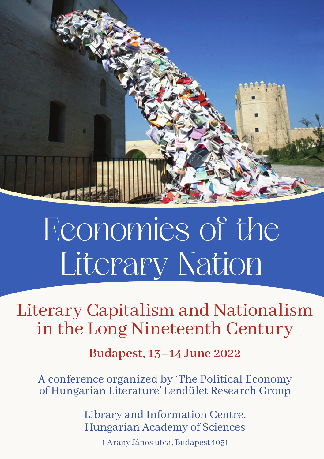

# Economies of the Literary Nation

Literary Capitalism and Nationalism in the Long Nineteenth Century

**Budapest, 13–14 June 2022**

A conference organized by 'The Political Economy of Hungarian Literature' Lendület Research Group

> Library and Information Centre, Hungarian Academy of Sciences

> > 1 Arany János utca, Budapest 1051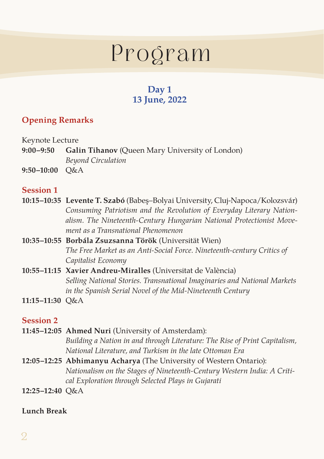# Program

## **Day 1 13 June, 2022**

## **Opening Remarks**

#### Keynote Lecture

| 9:00–9:50        | <b>Galin Tihanov</b> (Queen Mary University of London) |
|------------------|--------------------------------------------------------|
|                  | Beyond Circulation                                     |
| $9:50-10:00$ O&A |                                                        |

#### **Session 1**

- **10:15–10:35 Levente T. Szabó** (Babeş–Bolyai University, Cluj-Napoca/Kolozsvár) *Consuming Patriotism and the Revolution of Everyday Literary Nationalism. The Nineteenth-Century Hungarian National Protectionist Movement as a Transnational Phenomenon*
- **10:35–10:55 Borbála Zsuzsanna Török** (Universität Wien) *The Free Market as an Anti-Social Force. Nineteenth-century Critics of Capitalist Economy*
- **10:55–11:15 Xavier Andreu-Miralles** (Universitat de València) *Selling National Stories. Transnational Imaginaries and National Markets in the Spanish Serial Novel of the Mid-Nineteenth Century*
- **11:15–11:30** Q&A

#### **Session 2**

- **11:45–12:05 Ahmed Nuri** (University of Amsterdam): *Building a Nation in and through Literature: The Rise of Print Capitalism, National Literature, and Turkism in the late Ottoman Era*
- **12:05–12:25 Abhimanyu Acharya** (The University of Western Ontario): *Nationalism on the Stages of Nineteenth-Century Western India: A Critical Exploration through Selected Plays in Gujarati*
- **12:25–12:40** Q&A

#### **Lunch Break**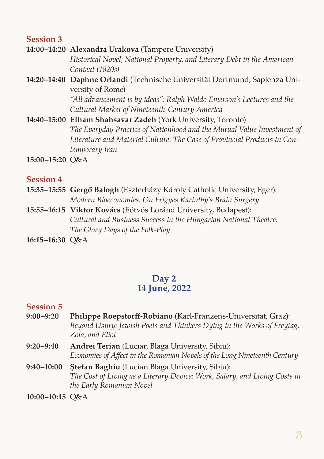#### **Session 3**

- **14:00–14:20 Alexandra Urakova** (Tampere University) *Historical Novel, National Property, and Literary Debt in the American Context (1820s)*
- **14:20–14:40 Daphne Orlandi** (Technische Universität Dortmund, Sapienza University of Rome) *"All advancement is by ideas": Ralph Waldo Emerson's Lectures and the Cultural Market of Nineteenth-Century America*
- **14:40–15:00 Elham Shahsavar Zadeh** (York University, Toronto) *The Everyday Practice of Nationhood and the Mutual Value Investment of Literature and Material Culture. The Case of Provincial Products in Contemporary Iran*
- **15:00–15:20** Q&A

#### **Session 4**

- **15:35–15:55 Gergő Balogh** (Eszterházy Károly Catholic University, Eger): *Modern Bioeconomies. On Frigyes Karinthy's Brain Surgery*
- **15:55–16:15 Viktor Kovács** (Eötvös Loránd University, Budapest): *Cultural and Business Success in the Hungarian National Theatre: The Glory Days of the Folk-Play*
- **16:15–16:30** Q&A

### **Day 2 14 June, 2022**

#### **Session 5**

- **9:00–9:20 Philippe Roepstorff-Robiano** (Karl-Franzens-Universität, Graz): *Beyond Usury: Jewish Poets and Thinkers Dying in the Works of Freytag, Zola, and Eliot*
- **9:20–9:40 Andrei Terian** (Lucian Blaga University, Sibiu): *Economies of Affect in the Romanian Novels of the Long Nineteenth Century*
- **9:40–10:00 Ştefan Baghiu** (Lucian Blaga University, Sibiu): *The Cost of Living as a Literary Device: Work, Salary, and Living Costs in the Early Romanian Novel*
- **10:00–10:15** Q&A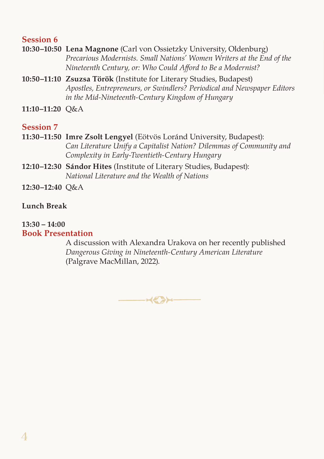#### **Session 6**

- **10:30–10:50 Lena Magnone** (Carl von Ossietzky University, Oldenburg) *Precarious Modernists. Small Nations' Women Writers at the End of the Nineteenth Century, or: Who Could Afford to Be a Modernist?*
- **10:50–11:10 Zsuzsa Török** (Institute for Literary Studies, Budapest) *Apostles, Entrepreneurs, or Swindlers? Periodical and Newspaper Editors in the Mid-Nineteenth-Century Kingdom of Hungary*
- **11:10–11:20** Q&A

#### **Session 7**

- **11:30–11:50 Imre Zsolt Lengyel** (Eötvös Loránd University, Budapest): *Can Literature Unify a Capitalist Nation? Dilemmas of Community and Complexity in Early-Twentieth-Century Hungary*
- **12:10–12:30 Sándor Hites** (Institute of Literary Studies, Budapest): *National Literature and the Wealth of Nations*
- **12:30–12:40** Q&A

#### **Lunch Break**

#### **13:30 – 14:00 Book Presentation**

A discussion with Alexandra Urakova on her recently published *Dangerous Giving in Nineteenth-Century American Literature* (Palgrave MacMillan, 2022).

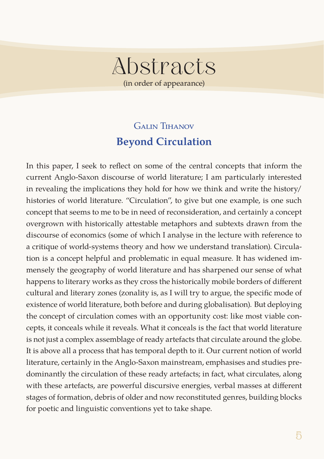# Abstracts (in order of appearance)

# Galin Tihanov **Beyond Circulation**

In this paper, I seek to reflect on some of the central concepts that inform the current Anglo-Saxon discourse of world literature; I am particularly interested in revealing the implications they hold for how we think and write the history/ histories of world literature. "Circulation", to give but one example, is one such concept that seems to me to be in need of reconsideration, and certainly a concept overgrown with historically attestable metaphors and subtexts drawn from the discourse of economics (some of which I analyse in the lecture with reference to a critique of world-systems theory and how we understand translation). Circulation is a concept helpful and problematic in equal measure. It has widened immensely the geography of world literature and has sharpened our sense of what happens to literary works as they cross the historically mobile borders of different cultural and literary zones (zonality is, as I will try to argue, the specific mode of existence of world literature, both before and during globalisation). But deploying the concept of circulation comes with an opportunity cost: like most viable concepts, it conceals while it reveals. What it conceals is the fact that world literature is not just a complex assemblage of ready artefacts that circulate around the globe. It is above all a process that has temporal depth to it. Our current notion of world literature, certainly in the Anglo-Saxon mainstream, emphasises and studies predominantly the circulation of these ready artefacts; in fact, what circulates, along with these artefacts, are powerful discursive energies, verbal masses at different stages of formation, debris of older and now reconstituted genres, building blocks for poetic and linguistic conventions yet to take shape.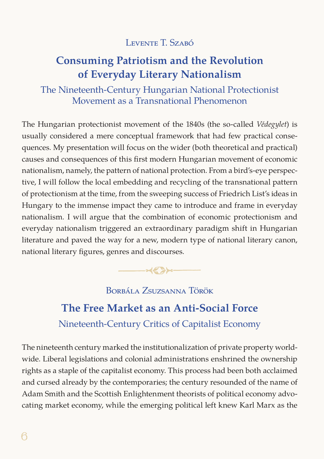## LEVENTE T. SZABÓ

# **Consuming Patriotism and the Revolution of Everyday Literary Nationalism**

The Nineteenth-Century Hungarian National Protectionist Movement as a Transnational Phenomenon

The Hungarian protectionist movement of the 1840s (the so-called *Védegylet*) is usually considered a mere conceptual framework that had few practical consequences. My presentation will focus on the wider (both theoretical and practical) causes and consequences of this first modern Hungarian movement of economic nationalism, namely, the pattern of national protection. From a bird's-eye perspective, I will follow the local embedding and recycling of the transnational pattern of protectionism at the time, from the sweeping success of Friedrich List's ideas in Hungary to the immense impact they came to introduce and frame in everyday nationalism. I will argue that the combination of economic protectionism and everyday nationalism triggered an extraordinary paradigm shift in Hungarian literature and paved the way for a new, modern type of national literary canon, national literary figures, genres and discourses.



# Borbála Zsuzsanna Török

# **The Free Market as an Anti-Social Force**  Nineteenth-Century Critics of Capitalist Economy

The nineteenth century marked the institutionalization of private property worldwide. Liberal legislations and colonial administrations enshrined the ownership rights as a staple of the capitalist economy. This process had been both acclaimed and cursed already by the contemporaries; the century resounded of the name of Adam Smith and the Scottish Enlightenment theorists of political economy advocating market economy, while the emerging political left knew Karl Marx as the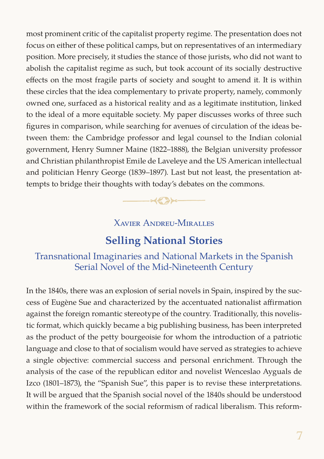most prominent critic of the capitalist property regime. The presentation does not focus on either of these political camps, but on representatives of an intermediary position. More precisely, it studies the stance of those jurists, who did not want to abolish the capitalist regime as such, but took account of its socially destructive effects on the most fragile parts of society and sought to amend it. It is within these circles that the idea complementary to private property, namely, commonly owned one, surfaced as a historical reality and as a legitimate institution, linked to the ideal of a more equitable society. My paper discusses works of three such figures in comparison, while searching for avenues of circulation of the ideas between them: the Cambridge professor and legal counsel to the Indian colonial government, Henry Sumner Maine (1822–1888), the Belgian university professor and Christian philanthropist Emile de Laveleye and the US American intellectual and politician Henry George (1839–1897). Last but not least, the presentation attempts to bridge their thoughts with today's debates on the commons.

Xavier Andreu-Miralles

 $-xz \rightarrow -$ 

## **Selling National Stories**

#### Transnational Imaginaries and National Markets in the Spanish Serial Novel of the Mid-Nineteenth Century

In the 1840s, there was an explosion of serial novels in Spain, inspired by the success of Eugène Sue and characterized by the accentuated nationalist affirmation against the foreign romantic stereotype of the country. Traditionally, this novelistic format, which quickly became a big publishing business, has been interpreted as the product of the petty bourgeoisie for whom the introduction of a patriotic language and close to that of socialism would have served as strategies to achieve a single objective: commercial success and personal enrichment. Through the analysis of the case of the republican editor and novelist Wenceslao Ayguals de Izco (1801–1873), the "Spanish Sue", this paper is to revise these interpretations. It will be argued that the Spanish social novel of the 1840s should be understood within the framework of the social reformism of radical liberalism. This reform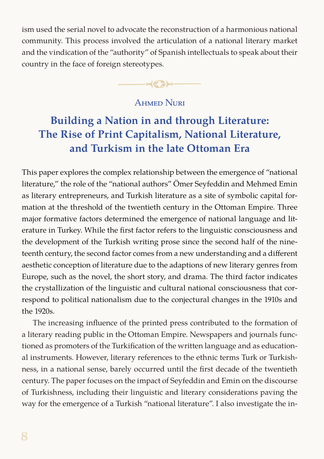ism used the serial novel to advocate the reconstruction of a harmonious national community. This process involved the articulation of a national literary market and the vindication of the "authority" of Spanish intellectuals to speak about their country in the face of foreign stereotypes.

 $\rightarrow$ 

### Ahmed Nuri

# **Building a Nation in and through Literature: The Rise of Print Capitalism, National Literature, and Turkism in the late Ottoman Era**

This paper explores the complex relationship between the emergence of "national literature," the role of the "national authors" Ömer Seyfeddin and Mehmed Emin as literary entrepreneurs, and Turkish literature as a site of symbolic capital formation at the threshold of the twentieth century in the Ottoman Empire. Three major formative factors determined the emergence of national language and literature in Turkey. While the first factor refers to the linguistic consciousness and the development of the Turkish writing prose since the second half of the nineteenth century, the second factor comes from a new understanding and a different aesthetic conception of literature due to the adaptions of new literary genres from Europe, such as the novel, the short story, and drama. The third factor indicates the crystallization of the linguistic and cultural national consciousness that correspond to political nationalism due to the conjectural changes in the 1910s and the 1920s.

The increasing influence of the printed press contributed to the formation of a literary reading public in the Ottoman Empire. Newspapers and journals functioned as promoters of the Turkification of the written language and as educational instruments. However, literary references to the ethnic terms Turk or Turkishness, in a national sense, barely occurred until the first decade of the twentieth century. The paper focuses on the impact of Seyfeddin and Emin on the discourse of Turkishness, including their linguistic and literary considerations paving the way for the emergence of a Turkish "national literature". I also investigate the in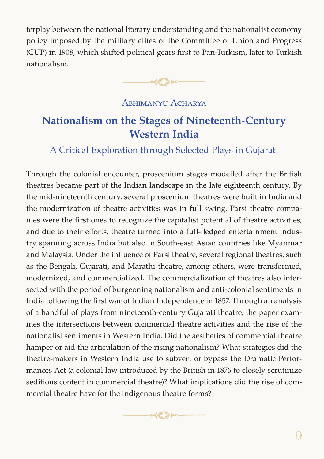terplay between the national literary understanding and the nationalist economy policy imposed by the military elites of the Committee of Union and Progress (CUP) in 1908, which shifted political gears first to Pan-Turkism, later to Turkish nationalism.

 $-42$ 

#### ABHIMANYU ACHARYA

## **Nationalism on the Stages of Nineteenth-Century Western India**

#### A Critical Exploration through Selected Plays in Gujarati

Through the colonial encounter, proscenium stages modelled after the British theatres became part of the Indian landscape in the late eighteenth century. By the mid-nineteenth century, several proscenium theatres were built in India and the modernization of theatre activities was in full swing. Parsi theatre companies were the first ones to recognize the capitalist potential of theatre activities, and due to their efforts, theatre turned into a full-fledged entertainment industry spanning across India but also in South-east Asian countries like Myanmar and Malaysia. Under the influence of Parsi theatre, several regional theatres, such as the Bengali, Gujarati, and Marathi theatre, among others, were transformed, modernized, and commercialized. The commercialization of theatres also intersected with the period of burgeoning nationalism and anti-colonial sentiments in India following the first war of Indian Independence in 1857. Through an analysis of a handful of plays from nineteenth-century Gujarati theatre, the paper examines the intersections between commercial theatre activities and the rise of the nationalist sentiments in Western India. Did the aesthetics of commercial theatre hamper or aid the articulation of the rising nationalism? What strategies did the theatre-makers in Western India use to subvert or bypass the Dramatic Performances Act (a colonial law introduced by the British in 1876 to closely scrutinize seditious content in commercial theatre)? What implications did the rise of commercial theatre have for the indigenous theatre forms?

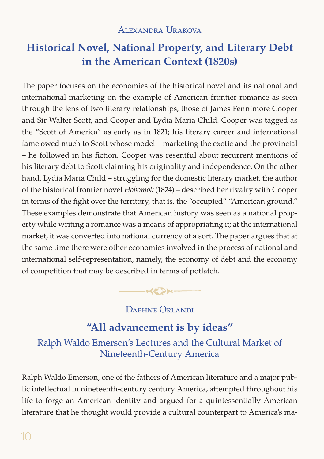Alexandra Urakova

# **Historical Novel, National Property, and Literary Debt in the American Context (1820s)**

The paper focuses on the economies of the historical novel and its national and international marketing on the example of American frontier romance as seen through the lens of two literary relationships, those of James Fennimore Cooper and Sir Walter Scott, and Cooper and Lydia Maria Child. Cooper was tagged as the "Scott of America" as early as in 1821; his literary career and international fame owed much to Scott whose model – marketing the exotic and the provincial – he followed in his fiction. Cooper was resentful about recurrent mentions of his literary debt to Scott claiming his originality and independence. On the other hand, Lydia Maria Child – struggling for the domestic literary market, the author of the historical frontier novel *Hobomok* (1824) – described her rivalry with Cooper in terms of the fight over the territory, that is, the "occupied" "American ground." These examples demonstrate that American history was seen as a national property while writing a romance was a means of appropriating it; at the international market, it was converted into national currency of a sort. The paper argues that at the same time there were other economies involved in the process of national and international self-representation, namely, the economy of debt and the economy of competition that may be described in terms of potlatch.

 $-423-$ 

Daphne Orlandi

## **"All advancement is by ideas"**

Ralph Waldo Emerson's Lectures and the Cultural Market of Nineteenth-Century America

Ralph Waldo Emerson, one of the fathers of American literature and a major public intellectual in nineteenth-century century America, attempted throughout his life to forge an American identity and argued for a quintessentially American literature that he thought would provide a cultural counterpart to America's ma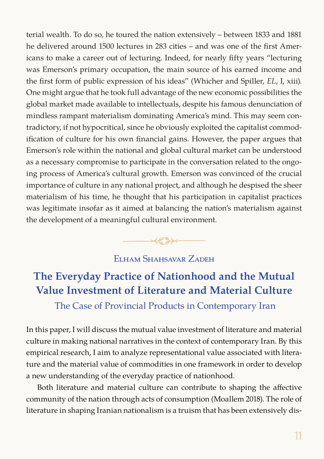terial wealth. To do so, he toured the nation extensively – between 1833 and 1881 he delivered around 1500 lectures in 283 cities – and was one of the first Americans to make a career out of lecturing. Indeed, for nearly fifty years "lecturing was Emerson's primary occupation, the main source of his earned income and the first form of public expression of his ideas" (Whicher and Spiller, *EL*, I, xiii). One might argue that he took full advantage of the new economic possibilities the global market made available to intellectuals, despite his famous denunciation of mindless rampant materialism dominating America's mind. This may seem contradictory, if not hypocritical, since he obviously exploited the capitalist commodification of culture for his own financial gains. However, the paper argues that Emerson's role within the national and global cultural market can be understood as a necessary compromise to participate in the conversation related to the ongoing process of America's cultural growth. Emerson was convinced of the crucial importance of culture in any national project, and although he despised the sheer materialism of his time, he thought that his participation in capitalist practices was legitimate insofar as it aimed at balancing the nation's materialism against the development of a meaningful cultural environment.

#### Elham Shahsavar Zadeh

 $\longrightarrow$ 

# **The Everyday Practice of Nationhood and the Mutual Value Investment of Literature and Material Culture**

The Case of Provincial Products in Contemporary Iran

In this paper, I will discuss the mutual value investment of literature and material culture in making national narratives in the context of contemporary Iran. By this empirical research, I aim to analyze representational value associated with literature and the material value of commodities in one framework in order to develop a new understanding of the everyday practice of nationhood.

Both literature and material culture can contribute to shaping the affective community of the nation through acts of consumption (Moallem 2018). The role of literature in shaping Iranian nationalism is a truism that has been extensively dis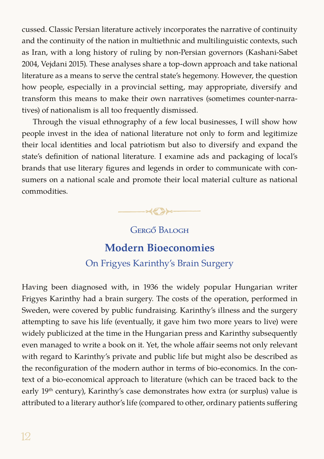cussed. Classic Persian literature actively incorporates the narrative of continuity and the continuity of the nation in multiethnic and multilinguistic contexts, such as Iran, with a long history of ruling by non-Persian governors (Kashani-Sabet 2004, Vejdani 2015). These analyses share a top-down approach and take national literature as a means to serve the central state's hegemony. However, the question how people, especially in a provincial setting, may appropriate, diversify and transform this means to make their own narratives (sometimes counter-narratives) of nationalism is all too frequently dismissed.

Through the visual ethnography of a few local businesses, I will show how people invest in the idea of national literature not only to form and legitimize their local identities and local patriotism but also to diversify and expand the state's definition of national literature. I examine ads and packaging of local's brands that use literary figures and legends in order to communicate with consumers on a national scale and promote their local material culture as national commodities.



Gergő Balogh

## **Modern Bioeconomies**

### On Frigyes Karinthy's Brain Surgery

Having been diagnosed with, in 1936 the widely popular Hungarian writer Frigyes Karinthy had a brain surgery. The costs of the operation, performed in Sweden, were covered by public fundraising. Karinthy's illness and the surgery attempting to save his life (eventually, it gave him two more years to live) were widely publicized at the time in the Hungarian press and Karinthy subsequently even managed to write a book on it. Yet, the whole affair seems not only relevant with regard to Karinthy's private and public life but might also be described as the reconfiguration of the modern author in terms of bio-economics. In the context of a bio-economical approach to literature (which can be traced back to the early 19<sup>th</sup> century), Karinthy's case demonstrates how extra (or surplus) value is attributed to a literary author's life (compared to other, ordinary patients suffering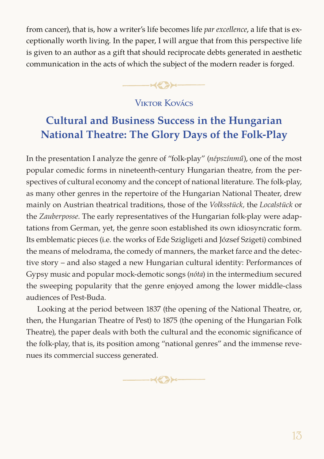from cancer), that is, how a writer's life becomes life *par excellence*, a life that is exceptionally worth living. In the paper, I will argue that from this perspective life is given to an author as a gift that should reciprocate debts generated in aesthetic communication in the acts of which the subject of the modern reader is forged.

 $\longrightarrow$ 

## Viktor Kovács

# **Cultural and Business Success in the Hungarian National Theatre: The Glory Days of the Folk-Play**

In the presentation I analyze the genre of "folk-play" (*népszínmű*), one of the most popular comedic forms in nineteenth-century Hungarian theatre, from the perspectives of cultural economy and the concept of national literature. The folk-play, as many other genres in the repertoire of the Hungarian National Theater, drew mainly on Austrian theatrical traditions, those of the *Volksstück,* the *Localstück* or the *Zauberposse*. The early representatives of the Hungarian folk-play were adaptations from German, yet, the genre soon established its own idiosyncratic form. Its emblematic pieces (i.e. the works of Ede Szigligeti and József Szigeti) combined the means of melodrama, the comedy of manners, the market farce and the detective story – and also staged a new Hungarian cultural identity: Performances of Gypsy music and popular mock-demotic songs (*nóta*) in the intermedium secured the sweeping popularity that the genre enjoyed among the lower middle-class audiences of Pest-Buda.

Looking at the period between 1837 (the opening of the National Theatre, or, then, the Hungarian Theatre of Pest) to 1875 (the opening of the Hungarian Folk Theatre), the paper deals with both the cultural and the economic significance of the folk-play, that is, its position among "national genres" and the immense revenues its commercial success generated.

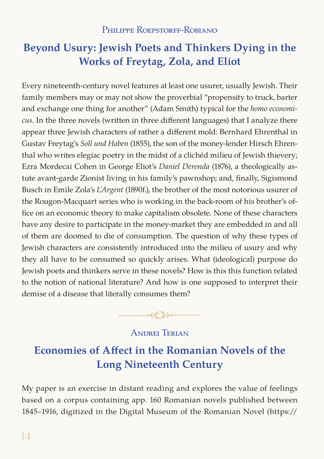# **Beyond Usury: Jewish Poets and Thinkers Dying in the Works of Freytag, Zola, and Eliot**

Every nineteenth-century novel features at least one usurer, usually Jewish. Their family members may or may not show the proverbial "propensity to truck, barter and exchange one thing for another" (Adam Smith) typical for the *homo economicus*. In the three novels (written in three different languages) that I analyze there appear three Jewish characters of rather a different mold: Bernhard Ehrenthal in Gustav Freytag's *Soll und Haben* (1855), the son of the money-lender Hirsch Ehrenthal who writes elegiac poetry in the midst of a clichéd milieu of Jewish thievery; Ezra Mordecai Cohen in George Eliot's *Daniel Deronda* (1876), a theologically astute avant-garde Zionist living in his family's pawnshop; and, finally, Sigismond Busch in Emile Zola's *L'Argent* (1890f.), the brother of the most notorious usurer of the Rougon-Macquart series who is working in the back-room of his brother's office on an economic theory to make capitalism obsolete. None of these characters have any desire to participate in the money-market they are embedded in and all of them are doomed to die of consumption. The question of why these types of Jewish characters are consistently introduced into the milieu of usury and why they all have to be consumed so quickly arises. What (ideological) purpose do Jewish poets and thinkers serve in these novels? How is this this function related to the notion of national literature? And how is one supposed to interpret their demise of a disease that literally consumes them?



### Andrei Terian

# **Economies of Affect in the Romanian Novels of the Long Nineteenth Century**

My paper is an exercise in distant reading and explores the value of feelings based on a corpus containing app. 160 Romanian novels published between 1845–1916, digitized in the Digital Museum of the Romanian Novel (https://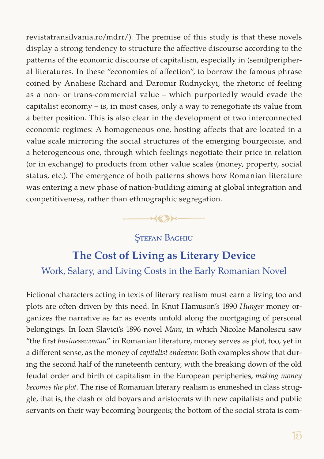revistatransilvania.ro/mdrr/). The premise of this study is that these novels display a strong tendency to structure the affective discourse according to the patterns of the economic discourse of capitalism, especially in (semi)peripheral literatures. In these "economies of affection", to borrow the famous phrase coined by Analiese Richard and Daromir Rudnyckyi, the rhetoric of feeling as a non- or trans-commercial value – which purportedly would evade the capitalist economy – is, in most cases, only a way to renegotiate its value from a better position. This is also clear in the development of two interconnected economic regimes: A homogeneous one, hosting affects that are located in a value scale mirroring the social structures of the emerging bourgeoisie, and a heterogeneous one, through which feelings negotiate their price in relation (or in exchange) to products from other value scales (money, property, social status, etc.). The emergence of both patterns shows how Romanian literature was entering a new phase of nation-building aiming at global integration and competitiveness, rather than ethnographic segregation.

## *<u>STEFAN BAGHIU</u>*

 $-\infty$ 

## **The Cost of Living as Literary Device**

## Work, Salary, and Living Costs in the Early Romanian Novel

Fictional characters acting in texts of literary realism must earn a living too and plots are often driven by this need. In Knut Hamuson's 1890 *Hunger* money organizes the narrative as far as events unfold along the mortgaging of personal belongings. In Ioan Slavici's 1896 novel *Mara*, in which Nicolae Manolescu saw "the first *businesswoman*" in Romanian literature, money serves as plot, too, yet in a different sense, as the money of *capitalist endeavor*. Both examples show that during the second half of the nineteenth century, with the breaking down of the old feudal order and birth of capitalism in the European peripheries, *making money becomes the plot.* The rise of Romanian literary realism is enmeshed in class struggle, that is, the clash of old boyars and aristocrats with new capitalists and public servants on their way becoming bourgeois; the bottom of the social strata is com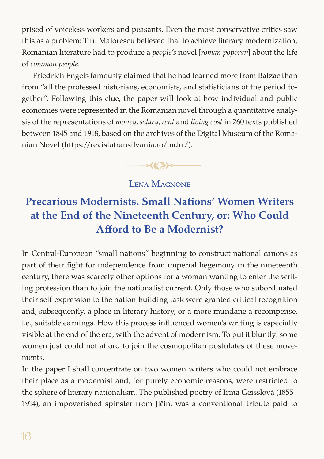prised of voiceless workers and peasants. Even the most conservative critics saw this as a problem: Titu Maiorescu believed that to achieve literary modernization, Romanian literature had to produce a *people's* novel [*roman poporan*] about the life of *common people*.

Friedrich Engels famously claimed that he had learned more from Balzac than from "all the professed historians, economists, and statisticians of the period together". Following this clue, the paper will look at how individual and public economies were represented in the Romanian novel through a quantitative analysis of the representations of *money*, *salary*, *rent* and *living cost* in 260 texts published between 1845 and 1918, based on the archives of the Digital Museum of the Romanian Novel (https://revistatransilvania.ro/mdrr/).



#### LENA MAGNONE

# **Precarious Modernists. Small Nations' Women Writers at the End of the Nineteenth Century, or: Who Could Afford to Be a Modernist?**

In Central-European "small nations" beginning to construct national canons as part of their fight for independence from imperial hegemony in the nineteenth century, there was scarcely other options for a woman wanting to enter the writing profession than to join the nationalist current. Only those who subordinated their self-expression to the nation-building task were granted critical recognition and, subsequently, a place in literary history, or a more mundane a recompense, i.e., suitable earnings. How this process influenced women's writing is especially visible at the end of the era, with the advent of modernism. To put it bluntly: some women just could not afford to join the cosmopolitan postulates of these movements.

In the paper I shall concentrate on two women writers who could not embrace their place as a modernist and, for purely economic reasons, were restricted to the sphere of literary nationalism. The published poetry of Irma Geisslová (1855– 1914), an impoverished spinster from Jičín, was a conventional tribute paid to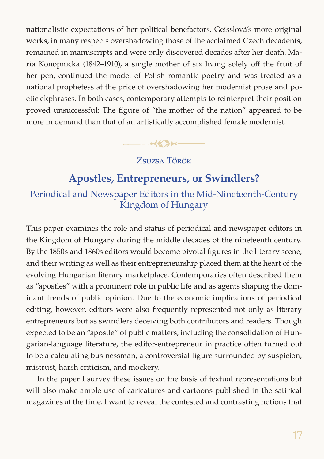nationalistic expectations of her political benefactors. Geisslová's more original works, in many respects overshadowing those of the acclaimed Czech decadents, remained in manuscripts and were only discovered decades after her death. Maria Konopnicka (1842–1910), a single mother of six living solely off the fruit of her pen, continued the model of Polish romantic poetry and was treated as a national prophetess at the price of overshadowing her modernist prose and poetic ekphrases. In both cases, contemporary attempts to reinterpret their position proved unsuccessful: The figure of "the mother of the nation" appeared to be more in demand than that of an artistically accomplished female modernist.

Zsuzsa Török

 $\longrightarrow$ 

## **Apostles, Entrepreneurs, or Swindlers?**

## Periodical and Newspaper Editors in the Mid-Nineteenth-Century Kingdom of Hungary

This paper examines the role and status of periodical and newspaper editors in the Kingdom of Hungary during the middle decades of the nineteenth century. By the 1850s and 1860s editors would become pivotal figures in the literary scene, and their writing as well as their entrepreneurship placed them at the heart of the evolving Hungarian literary marketplace. Contemporaries often described them as "apostles" with a prominent role in public life and as agents shaping the dominant trends of public opinion. Due to the economic implications of periodical editing, however, editors were also frequently represented not only as literary entrepreneurs but as swindlers deceiving both contributors and readers. Though expected to be an "apostle" of public matters, including the consolidation of Hungarian-language literature, the editor-entrepreneur in practice often turned out to be a calculating businessman, a controversial figure surrounded by suspicion, mistrust, harsh criticism, and mockery.

In the paper I survey these issues on the basis of textual representations but will also make ample use of caricatures and cartoons published in the satirical magazines at the time. I want to reveal the contested and contrasting notions that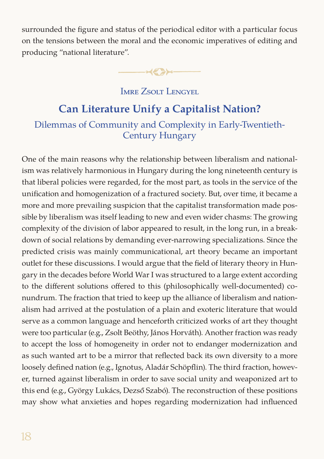surrounded the figure and status of the periodical editor with a particular focus on the tensions between the moral and the economic imperatives of editing and producing "national literature".

 $\longrightarrow \mathcal{L}$ 

#### Imre Zsolt Lengyel

# **Can Literature Unify a Capitalist Nation?**  Dilemmas of Community and Complexity in Early-Twentieth-Century Hungary

One of the main reasons why the relationship between liberalism and nationalism was relatively harmonious in Hungary during the long nineteenth century is that liberal policies were regarded, for the most part, as tools in the service of the unification and homogenization of a fractured society. But, over time, it became a more and more prevailing suspicion that the capitalist transformation made possible by liberalism was itself leading to new and even wider chasms: The growing complexity of the division of labor appeared to result, in the long run, in a breakdown of social relations by demanding ever-narrowing specializations. Since the predicted crisis was mainly communicational, art theory became an important outlet for these discussions. I would argue that the field of literary theory in Hungary in the decades before World War I was structured to a large extent according to the different solutions offered to this (philosophically well-documented) conundrum. The fraction that tried to keep up the alliance of liberalism and nationalism had arrived at the postulation of a plain and exoteric literature that would serve as a common language and henceforth criticized works of art they thought were too particular (e.g., Zsolt Beöthy, János Horváth). Another fraction was ready to accept the loss of homogeneity in order not to endanger modernization and as such wanted art to be a mirror that reflected back its own diversity to a more loosely defined nation (e.g., Ignotus, Aladár Schöpflin). The third fraction, however, turned against liberalism in order to save social unity and weaponized art to this end (e.g., György Lukács, Dezső Szabó). The reconstruction of these positions may show what anxieties and hopes regarding modernization had influenced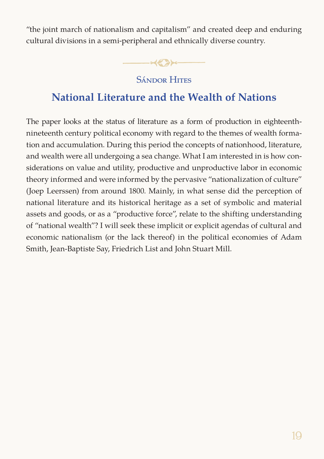"the joint march of nationalism and capitalism" and created deep and enduring cultural divisions in a semi-peripheral and ethnically diverse country.



## Sándor Hites

## **National Literature and the Wealth of Nations**

The paper looks at the status of literature as a form of production in eighteenthnineteenth century political economy with regard to the themes of wealth formation and accumulation. During this period the concepts of nationhood, literature, and wealth were all undergoing a sea change. What I am interested in is how considerations on value and utility, productive and unproductive labor in economic theory informed and were informed by the pervasive "nationalization of culture" (Joep Leerssen) from around 1800. Mainly, in what sense did the perception of national literature and its historical heritage as a set of symbolic and material assets and goods, or as a "productive force", relate to the shifting understanding of "national wealth"? I will seek these implicit or explicit agendas of cultural and economic nationalism (or the lack thereof) in the political economies of Adam Smith, Jean-Baptiste Say, Friedrich List and John Stuart Mill.